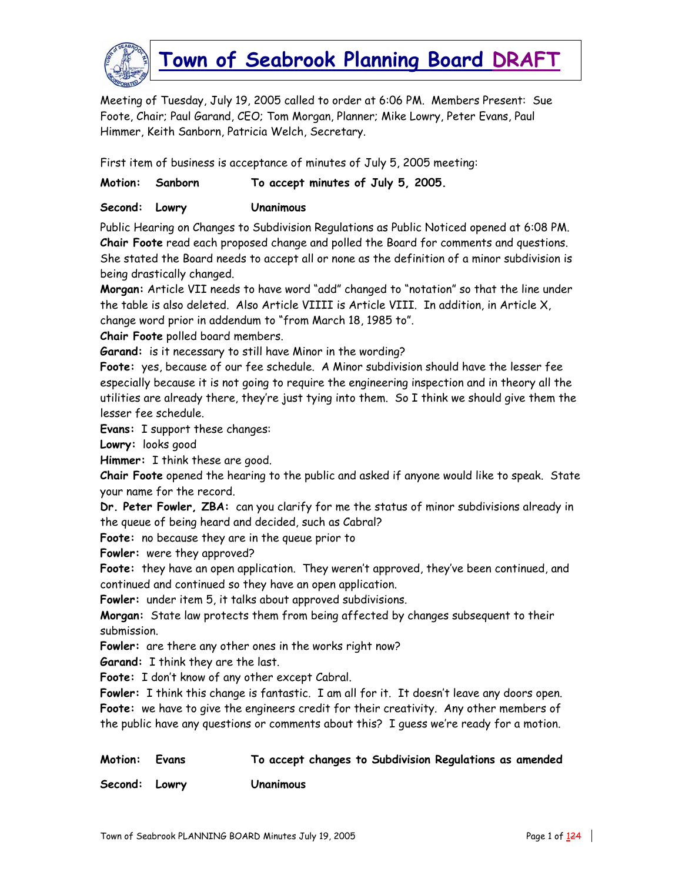

Meeting of Tuesday, July 19, 2005 called to order at 6:06 PM. Members Present: Sue Foote, Chair; Paul Garand, CEO; Tom Morgan, Planner; Mike Lowry, Peter Evans, Paul Himmer, Keith Sanborn, Patricia Welch, Secretary.

First item of business is acceptance of minutes of July 5, 2005 meeting:

| To accept minutes of July 5, 2005. |
|------------------------------------|
|                                    |

**Second: Lowry Unanimous** 

Public Hearing on Changes to Subdivision Regulations as Public Noticed opened at 6:08 PM. **Chair Foote** read each proposed change and polled the Board for comments and questions. She stated the Board needs to accept all or none as the definition of a minor subdivision is being drastically changed.

**Morgan:** Article VII needs to have word "add" changed to "notation" so that the line under the table is also deleted. Also Article VIIII is Article VIII. In addition, in Article X, change word prior in addendum to "from March 18, 1985 to".

**Chair Foote** polled board members.

**Garand:** is it necessary to still have Minor in the wording?

**Foote:** yes, because of our fee schedule. A Minor subdivision should have the lesser fee especially because it is not going to require the engineering inspection and in theory all the utilities are already there, they're just tying into them. So I think we should give them the lesser fee schedule.

**Evans:** I support these changes:

**Lowry:** looks good

**Himmer:** I think these are good.

**Chair Foote** opened the hearing to the public and asked if anyone would like to speak. State your name for the record.

**Dr. Peter Fowler, ZBA:** can you clarify for me the status of minor subdivisions already in the queue of being heard and decided, such as Cabral?

**Foote:** no because they are in the queue prior to

**Fowler:** were they approved?

**Foote:** they have an open application. They weren't approved, they've been continued, and continued and continued so they have an open application.

**Fowler:** under item 5, it talks about approved subdivisions.

**Morgan:** State law protects them from being affected by changes subsequent to their submission.

**Fowler:** are there any other ones in the works right now?

**Garand:** I think they are the last.

**Foote:** I don't know of any other except Cabral.

**Fowler:** I think this change is fantastic. I am all for it. It doesn't leave any doors open. **Foote:** we have to give the engineers credit for their creativity. Any other members of the public have any questions or comments about this? I guess we're ready for a motion.

| Motion: Evans | To accept changes to Subdivision Regulations as amended |
|---------------|---------------------------------------------------------|
| Second: Lowry | <b>Unanimous</b>                                        |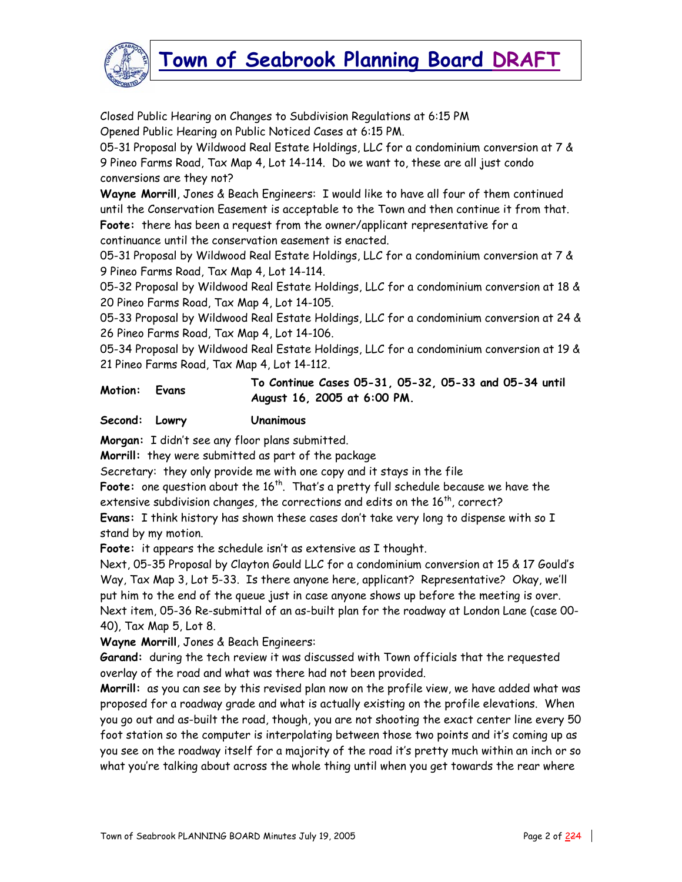

Closed Public Hearing on Changes to Subdivision Regulations at 6:15 PM Opened Public Hearing on Public Noticed Cases at 6:15 PM.

05-31 Proposal by Wildwood Real Estate Holdings, LLC for a condominium conversion at 7 & 9 Pineo Farms Road, Tax Map 4, Lot 14-114. Do we want to, these are all just condo conversions are they not?

**Wayne Morrill**, Jones & Beach Engineers: I would like to have all four of them continued until the Conservation Easement is acceptable to the Town and then continue it from that. **Foote:** there has been a request from the owner/applicant representative for a continuance until the conservation easement is enacted.

05-31 Proposal by Wildwood Real Estate Holdings, LLC for a condominium conversion at 7 & 9 Pineo Farms Road, Tax Map 4, Lot 14-114.

05-32 Proposal by Wildwood Real Estate Holdings, LLC for a condominium conversion at 18 & 20 Pineo Farms Road, Tax Map 4, Lot 14-105.

05-33 Proposal by Wildwood Real Estate Holdings, LLC for a condominium conversion at 24 & 26 Pineo Farms Road, Tax Map 4, Lot 14-106.

05-34 Proposal by Wildwood Real Estate Holdings, LLC for a condominium conversion at 19 & 21 Pineo Farms Road, Tax Map 4, Lot 14-112.

**Motion: Evans To Continue Cases 05-31, 05-32, 05-33 and 05-34 until August 16, 2005 at 6:00 PM.** 

**Second: Lowry Unanimous** 

**Morgan:** I didn't see any floor plans submitted.

**Morrill:** they were submitted as part of the package

Secretary: they only provide me with one copy and it stays in the file

Foote: one question about the 16<sup>th</sup>. That's a pretty full schedule because we have the extensive subdivision changes, the corrections and edits on the  $16^{th}$ , correct? **Evans:** I think history has shown these cases don't take very long to dispense with so I stand by my motion.

**Foote:** it appears the schedule isn't as extensive as I thought.

Next, 05-35 Proposal by Clayton Gould LLC for a condominium conversion at 15 & 17 Gould's Way, Tax Map 3, Lot 5-33. Is there anyone here, applicant? Representative? Okay, we'll put him to the end of the queue just in case anyone shows up before the meeting is over. Next item, 05-36 Re-submittal of an as-built plan for the roadway at London Lane (case 00- 40), Tax Map 5, Lot 8.

**Wayne Morrill**, Jones & Beach Engineers:

**Garand:** during the tech review it was discussed with Town officials that the requested overlay of the road and what was there had not been provided.

**Morrill:** as you can see by this revised plan now on the profile view, we have added what was proposed for a roadway grade and what is actually existing on the profile elevations. When you go out and as-built the road, though, you are not shooting the exact center line every 50 foot station so the computer is interpolating between those two points and it's coming up as you see on the roadway itself for a majority of the road it's pretty much within an inch or so what you're talking about across the whole thing until when you get towards the rear where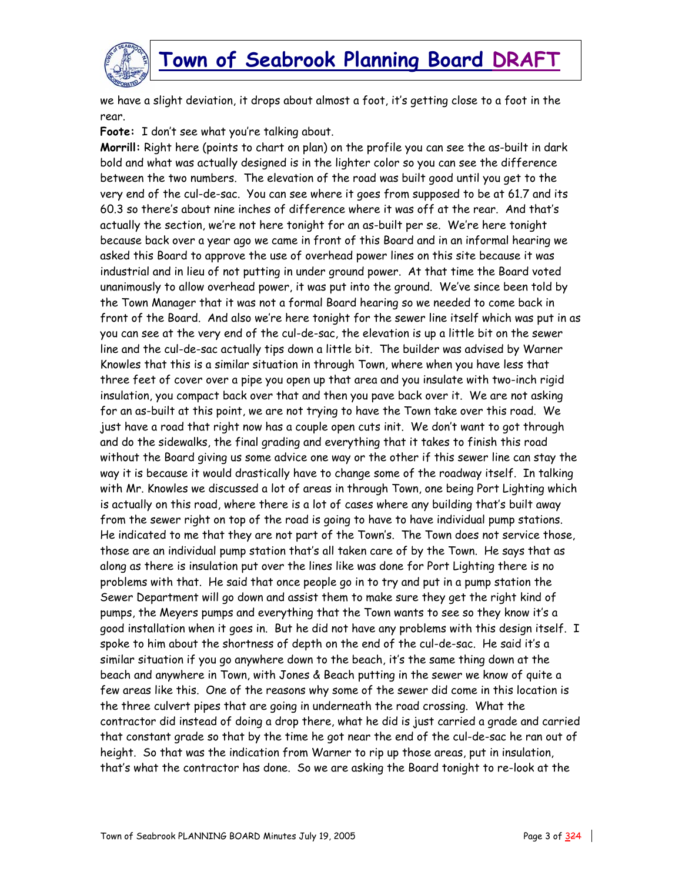

we have a slight deviation, it drops about almost a foot, it's getting close to a foot in the rear.

**Foote:** I don't see what you're talking about.

**Morrill:** Right here (points to chart on plan) on the profile you can see the as-built in dark bold and what was actually designed is in the lighter color so you can see the difference between the two numbers. The elevation of the road was built good until you get to the very end of the cul-de-sac. You can see where it goes from supposed to be at 61.7 and its 60.3 so there's about nine inches of difference where it was off at the rear. And that's actually the section, we're not here tonight for an as-built per se. We're here tonight because back over a year ago we came in front of this Board and in an informal hearing we asked this Board to approve the use of overhead power lines on this site because it was industrial and in lieu of not putting in under ground power. At that time the Board voted unanimously to allow overhead power, it was put into the ground. We've since been told by the Town Manager that it was not a formal Board hearing so we needed to come back in front of the Board. And also we're here tonight for the sewer line itself which was put in as you can see at the very end of the cul-de-sac, the elevation is up a little bit on the sewer line and the cul-de-sac actually tips down a little bit. The builder was advised by Warner Knowles that this is a similar situation in through Town, where when you have less that three feet of cover over a pipe you open up that area and you insulate with two-inch rigid insulation, you compact back over that and then you pave back over it. We are not asking for an as-built at this point, we are not trying to have the Town take over this road. We just have a road that right now has a couple open cuts init. We don't want to got through and do the sidewalks, the final grading and everything that it takes to finish this road without the Board giving us some advice one way or the other if this sewer line can stay the way it is because it would drastically have to change some of the roadway itself. In talking with Mr. Knowles we discussed a lot of areas in through Town, one being Port Lighting which is actually on this road, where there is a lot of cases where any building that's built away from the sewer right on top of the road is going to have to have individual pump stations. He indicated to me that they are not part of the Town's. The Town does not service those, those are an individual pump station that's all taken care of by the Town. He says that as along as there is insulation put over the lines like was done for Port Lighting there is no problems with that. He said that once people go in to try and put in a pump station the Sewer Department will go down and assist them to make sure they get the right kind of pumps, the Meyers pumps and everything that the Town wants to see so they know it's a good installation when it goes in. But he did not have any problems with this design itself. I spoke to him about the shortness of depth on the end of the cul-de-sac. He said it's a similar situation if you go anywhere down to the beach, it's the same thing down at the beach and anywhere in Town, with Jones & Beach putting in the sewer we know of quite a few areas like this. One of the reasons why some of the sewer did come in this location is the three culvert pipes that are going in underneath the road crossing. What the contractor did instead of doing a drop there, what he did is just carried a grade and carried that constant grade so that by the time he got near the end of the cul-de-sac he ran out of height. So that was the indication from Warner to rip up those areas, put in insulation, that's what the contractor has done. So we are asking the Board tonight to re-look at the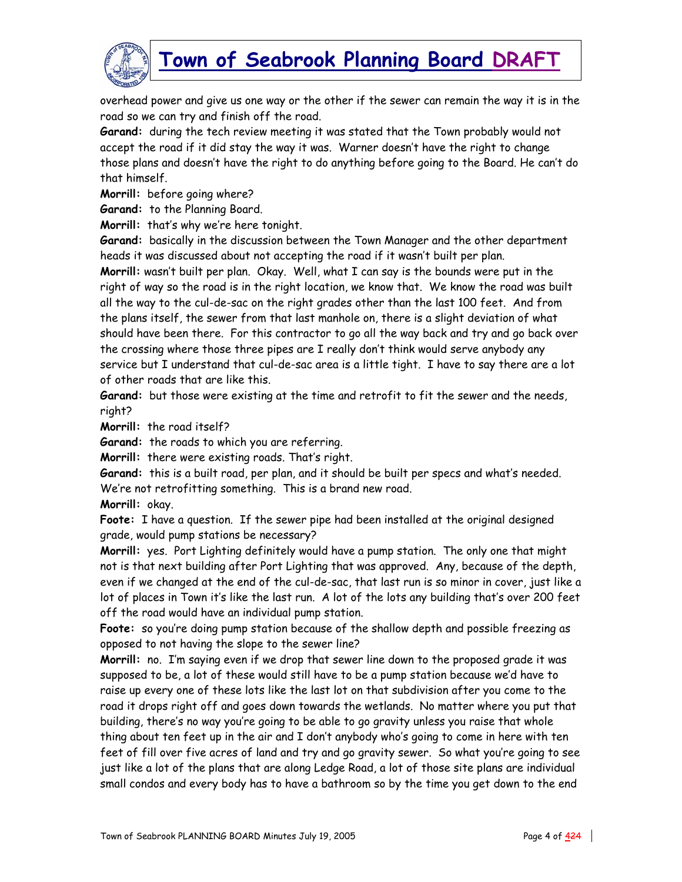

overhead power and give us one way or the other if the sewer can remain the way it is in the road so we can try and finish off the road.

**Garand:** during the tech review meeting it was stated that the Town probably would not accept the road if it did stay the way it was. Warner doesn't have the right to change those plans and doesn't have the right to do anything before going to the Board. He can't do that himself.

**Morrill:** before going where?

**Garand:** to the Planning Board.

**Morrill:** that's why we're here tonight.

**Garand:** basically in the discussion between the Town Manager and the other department heads it was discussed about not accepting the road if it wasn't built per plan.

**Morrill:** wasn't built per plan. Okay. Well, what I can say is the bounds were put in the right of way so the road is in the right location, we know that. We know the road was built all the way to the cul-de-sac on the right grades other than the last 100 feet. And from the plans itself, the sewer from that last manhole on, there is a slight deviation of what should have been there. For this contractor to go all the way back and try and go back over the crossing where those three pipes are I really don't think would serve anybody any service but I understand that cul-de-sac area is a little tight. I have to say there are a lot of other roads that are like this.

**Garand:** but those were existing at the time and retrofit to fit the sewer and the needs, right?

**Morrill:** the road itself?

**Garand:** the roads to which you are referring.

**Morrill:** there were existing roads. That's right.

**Garand:** this is a built road, per plan, and it should be built per specs and what's needed. We're not retrofitting something. This is a brand new road.

**Morrill:** okay.

**Foote:** I have a question. If the sewer pipe had been installed at the original designed grade, would pump stations be necessary?

**Morrill:** yes. Port Lighting definitely would have a pump station. The only one that might not is that next building after Port Lighting that was approved. Any, because of the depth, even if we changed at the end of the cul-de-sac, that last run is so minor in cover, just like a lot of places in Town it's like the last run. A lot of the lots any building that's over 200 feet off the road would have an individual pump station.

**Foote:** so you're doing pump station because of the shallow depth and possible freezing as opposed to not having the slope to the sewer line?

**Morrill:** no. I'm saying even if we drop that sewer line down to the proposed grade it was supposed to be, a lot of these would still have to be a pump station because we'd have to raise up every one of these lots like the last lot on that subdivision after you come to the road it drops right off and goes down towards the wetlands. No matter where you put that building, there's no way you're going to be able to go gravity unless you raise that whole thing about ten feet up in the air and I don't anybody who's going to come in here with ten feet of fill over five acres of land and try and go gravity sewer. So what you're going to see just like a lot of the plans that are along Ledge Road, a lot of those site plans are individual small condos and every body has to have a bathroom so by the time you get down to the end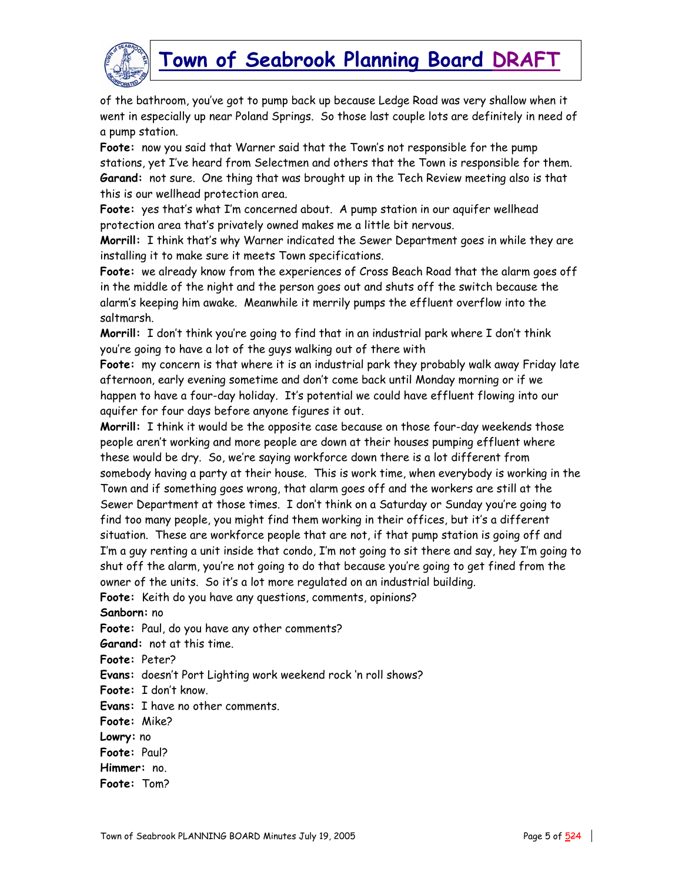

of the bathroom, you've got to pump back up because Ledge Road was very shallow when it went in especially up near Poland Springs. So those last couple lots are definitely in need of a pump station.

**Foote:** now you said that Warner said that the Town's not responsible for the pump stations, yet I've heard from Selectmen and others that the Town is responsible for them. **Garand:** not sure. One thing that was brought up in the Tech Review meeting also is that this is our wellhead protection area.

**Foote:** yes that's what I'm concerned about. A pump station in our aquifer wellhead protection area that's privately owned makes me a little bit nervous.

**Morrill:** I think that's why Warner indicated the Sewer Department goes in while they are installing it to make sure it meets Town specifications.

**Foote:** we already know from the experiences of Cross Beach Road that the alarm goes off in the middle of the night and the person goes out and shuts off the switch because the alarm's keeping him awake. Meanwhile it merrily pumps the effluent overflow into the saltmarsh.

**Morrill:** I don't think you're going to find that in an industrial park where I don't think you're going to have a lot of the guys walking out of there with

**Foote:** my concern is that where it is an industrial park they probably walk away Friday late afternoon, early evening sometime and don't come back until Monday morning or if we happen to have a four-day holiday. It's potential we could have effluent flowing into our aquifer for four days before anyone figures it out.

**Morrill:** I think it would be the opposite case because on those four-day weekends those people aren't working and more people are down at their houses pumping effluent where these would be dry. So, we're saying workforce down there is a lot different from somebody having a party at their house. This is work time, when everybody is working in the Town and if something goes wrong, that alarm goes off and the workers are still at the Sewer Department at those times. I don't think on a Saturday or Sunday you're going to find too many people, you might find them working in their offices, but it's a different situation. These are workforce people that are not, if that pump station is going off and I'm a guy renting a unit inside that condo, I'm not going to sit there and say, hey I'm going to shut off the alarm, you're not going to do that because you're going to get fined from the owner of the units. So it's a lot more regulated on an industrial building.

**Foote:** Keith do you have any questions, comments, opinions?

**Sanborn:** no

**Foote:** Paul, do you have any other comments?

**Garand:** not at this time.

**Foote:** Peter?

**Evans:** doesn't Port Lighting work weekend rock 'n roll shows?

**Foote:** I don't know.

**Evans:** I have no other comments.

**Foote:** Mike?

**Lowry:** no

**Foote:** Paul?

**Himmer:** no.

**Foote:** Tom?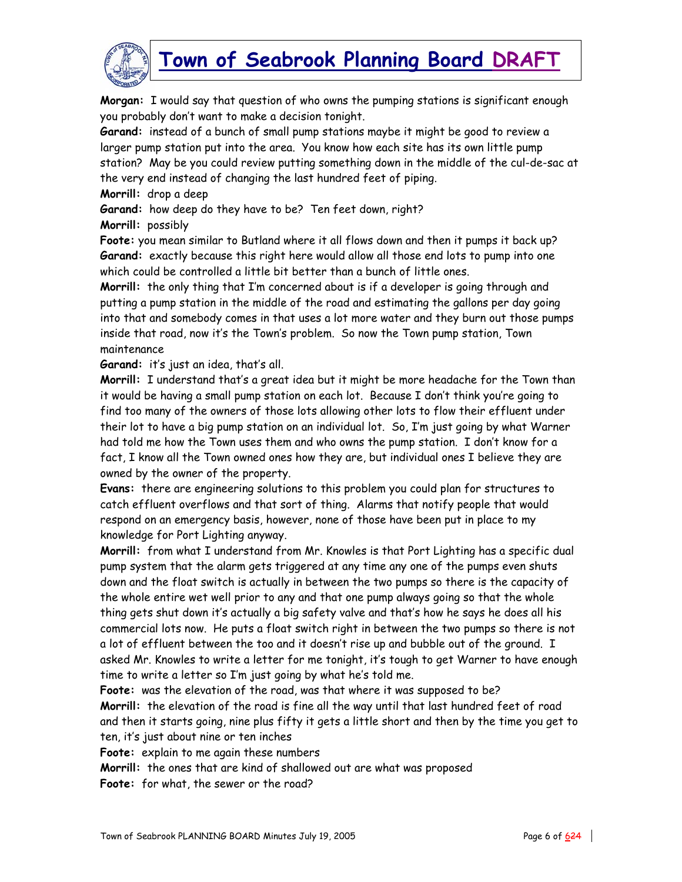

**Morgan:** I would say that question of who owns the pumping stations is significant enough you probably don't want to make a decision tonight.

**Garand:** instead of a bunch of small pump stations maybe it might be good to review a larger pump station put into the area. You know how each site has its own little pump station? May be you could review putting something down in the middle of the cul-de-sac at the very end instead of changing the last hundred feet of piping.

**Morrill:** drop a deep

**Garand:** how deep do they have to be? Ten feet down, right?

**Morrill:** possibly

**Foote:** you mean similar to Butland where it all flows down and then it pumps it back up? **Garand:** exactly because this right here would allow all those end lots to pump into one which could be controlled a little bit better than a bunch of little ones.

**Morrill:** the only thing that I'm concerned about is if a developer is going through and putting a pump station in the middle of the road and estimating the gallons per day going into that and somebody comes in that uses a lot more water and they burn out those pumps inside that road, now it's the Town's problem. So now the Town pump station, Town maintenance

**Garand:** it's just an idea, that's all.

**Morrill:** I understand that's a great idea but it might be more headache for the Town than it would be having a small pump station on each lot. Because I don't think you're going to find too many of the owners of those lots allowing other lots to flow their effluent under their lot to have a big pump station on an individual lot. So, I'm just going by what Warner had told me how the Town uses them and who owns the pump station. I don't know for a fact, I know all the Town owned ones how they are, but individual ones I believe they are owned by the owner of the property.

**Evans:** there are engineering solutions to this problem you could plan for structures to catch effluent overflows and that sort of thing. Alarms that notify people that would respond on an emergency basis, however, none of those have been put in place to my knowledge for Port Lighting anyway.

**Morrill:** from what I understand from Mr. Knowles is that Port Lighting has a specific dual pump system that the alarm gets triggered at any time any one of the pumps even shuts down and the float switch is actually in between the two pumps so there is the capacity of the whole entire wet well prior to any and that one pump always going so that the whole thing gets shut down it's actually a big safety valve and that's how he says he does all his commercial lots now. He puts a float switch right in between the two pumps so there is not a lot of effluent between the too and it doesn't rise up and bubble out of the ground. I asked Mr. Knowles to write a letter for me tonight, it's tough to get Warner to have enough time to write a letter so I'm just going by what he's told me.

**Foote:** was the elevation of the road, was that where it was supposed to be? **Morrill:** the elevation of the road is fine all the way until that last hundred feet of road and then it starts going, nine plus fifty it gets a little short and then by the time you get to ten, it's just about nine or ten inches

**Foote:** explain to me again these numbers

**Morrill:** the ones that are kind of shallowed out are what was proposed

**Foote:** for what, the sewer or the road?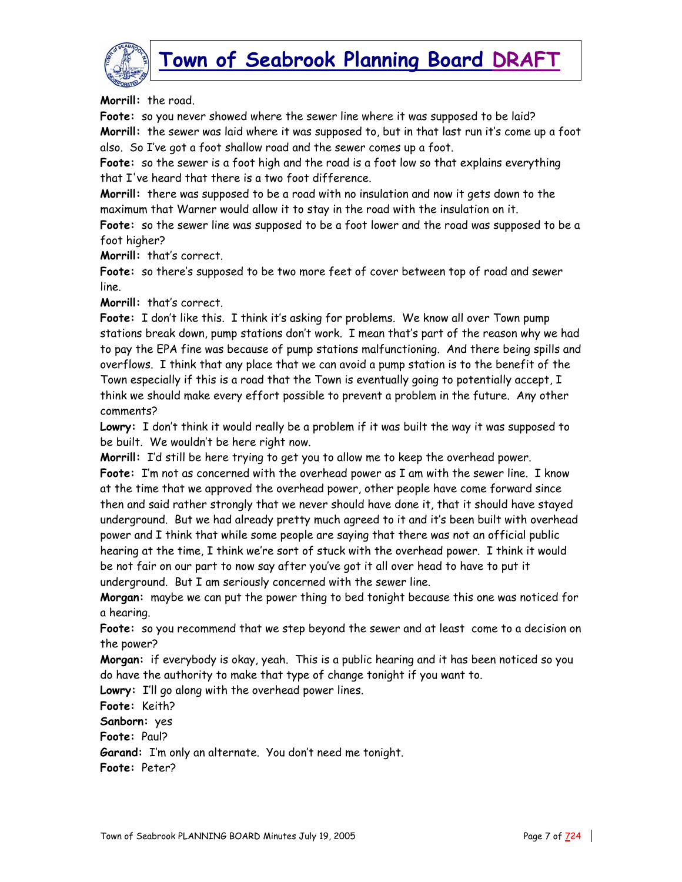

**Morrill:** the road

**Foote:** so you never showed where the sewer line where it was supposed to be laid? **Morrill:** the sewer was laid where it was supposed to, but in that last run it's come up a foot also. So I've got a foot shallow road and the sewer comes up a foot.

**Foote:** so the sewer is a foot high and the road is a foot low so that explains everything that I've heard that there is a two foot difference.

**Morrill:** there was supposed to be a road with no insulation and now it gets down to the maximum that Warner would allow it to stay in the road with the insulation on it.

**Foote:** so the sewer line was supposed to be a foot lower and the road was supposed to be a foot higher?

**Morrill:** that's correct.

**Foote:** so there's supposed to be two more feet of cover between top of road and sewer line.

**Morrill:** that's correct.

Foote: I don't like this. I think it's asking for problems. We know all over Town pump stations break down, pump stations don't work. I mean that's part of the reason why we had to pay the EPA fine was because of pump stations malfunctioning. And there being spills and overflows. I think that any place that we can avoid a pump station is to the benefit of the Town especially if this is a road that the Town is eventually going to potentially accept, I think we should make every effort possible to prevent a problem in the future. Any other comments?

**Lowry:** I don't think it would really be a problem if it was built the way it was supposed to be built. We wouldn't be here right now.

**Morrill:** I'd still be here trying to get you to allow me to keep the overhead power. **Foote:** I'm not as concerned with the overhead power as I am with the sewer line. I know at the time that we approved the overhead power, other people have come forward since then and said rather strongly that we never should have done it, that it should have stayed underground. But we had already pretty much agreed to it and it's been built with overhead power and I think that while some people are saying that there was not an official public hearing at the time, I think we're sort of stuck with the overhead power. I think it would be not fair on our part to now say after you've got it all over head to have to put it underground. But I am seriously concerned with the sewer line.

**Morgan:** maybe we can put the power thing to bed tonight because this one was noticed for a hearing.

**Foote:** so you recommend that we step beyond the sewer and at least come to a decision on the power?

**Morgan:** if everybody is okay, yeah. This is a public hearing and it has been noticed so you do have the authority to make that type of change tonight if you want to.

**Lowry:** I'll go along with the overhead power lines.

**Foote:** Keith?

**Sanborn:** yes

**Foote:** Paul?

**Garand:** I'm only an alternate. You don't need me tonight.

**Foote:** Peter?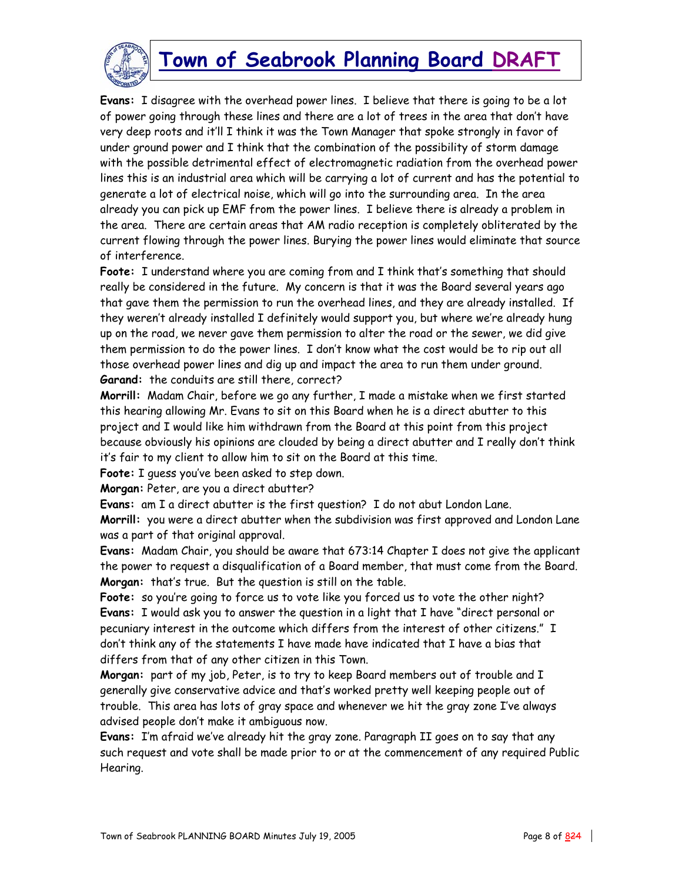

**Evans:** I disagree with the overhead power lines. I believe that there is going to be a lot of power going through these lines and there are a lot of trees in the area that don't have very deep roots and it'll I think it was the Town Manager that spoke strongly in favor of under ground power and I think that the combination of the possibility of storm damage with the possible detrimental effect of electromagnetic radiation from the overhead power lines this is an industrial area which will be carrying a lot of current and has the potential to generate a lot of electrical noise, which will go into the surrounding area. In the area already you can pick up EMF from the power lines. I believe there is already a problem in the area. There are certain areas that AM radio reception is completely obliterated by the current flowing through the power lines. Burying the power lines would eliminate that source of interference.

Foote: I understand where you are coming from and I think that's something that should really be considered in the future. My concern is that it was the Board several years ago that gave them the permission to run the overhead lines, and they are already installed. If they weren't already installed I definitely would support you, but where we're already hung up on the road, we never gave them permission to alter the road or the sewer, we did give them permission to do the power lines. I don't know what the cost would be to rip out all those overhead power lines and dig up and impact the area to run them under ground. **Garand:** the conduits are still there, correct?

**Morrill:** Madam Chair, before we go any further, I made a mistake when we first started this hearing allowing Mr. Evans to sit on this Board when he is a direct abutter to this project and I would like him withdrawn from the Board at this point from this project because obviously his opinions are clouded by being a direct abutter and I really don't think it's fair to my client to allow him to sit on the Board at this time.

**Foote:** I guess you've been asked to step down.

**Morgan:** Peter, are you a direct abutter?

**Evans:** am I a direct abutter is the first question? I do not abut London Lane.

**Morrill:** you were a direct abutter when the subdivision was first approved and London Lane was a part of that original approval.

**Evans:** Madam Chair, you should be aware that 673:14 Chapter I does not give the applicant the power to request a disqualification of a Board member, that must come from the Board. **Morgan:** that's true. But the question is still on the table.

**Foote:** so you're going to force us to vote like you forced us to vote the other night? **Evans:** I would ask you to answer the question in a light that I have "direct personal or pecuniary interest in the outcome which differs from the interest of other citizens." I don't think any of the statements I have made have indicated that I have a bias that differs from that of any other citizen in this Town.

**Morgan:** part of my job, Peter, is to try to keep Board members out of trouble and I generally give conservative advice and that's worked pretty well keeping people out of trouble. This area has lots of gray space and whenever we hit the gray zone I've always advised people don't make it ambiguous now.

**Evans:** I'm afraid we've already hit the gray zone. Paragraph II goes on to say that any such request and vote shall be made prior to or at the commencement of any required Public Hearing.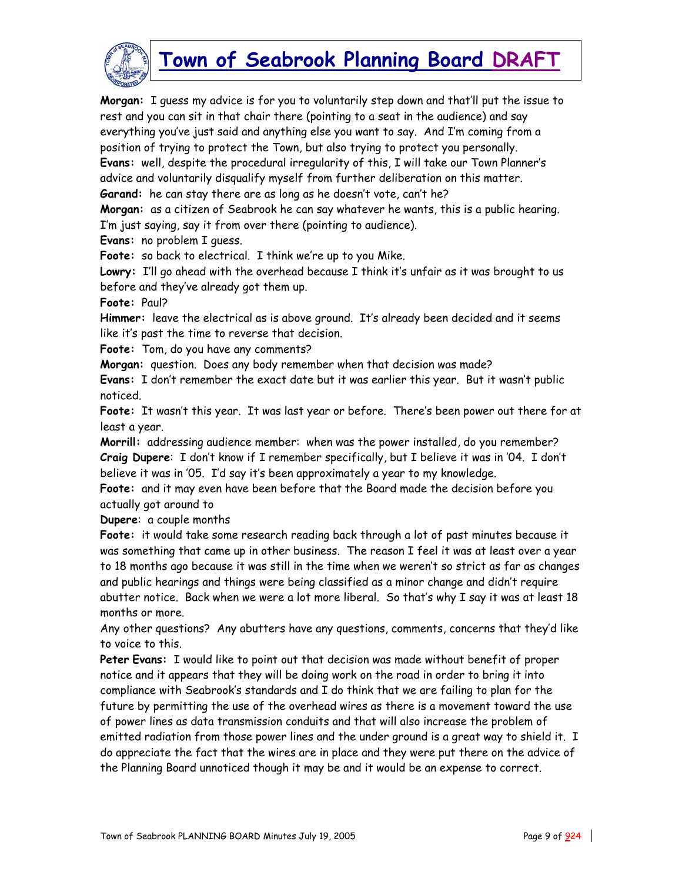

**Morgan:** I guess my advice is for you to voluntarily step down and that'll put the issue to rest and you can sit in that chair there (pointing to a seat in the audience) and say everything you've just said and anything else you want to say. And I'm coming from a position of trying to protect the Town, but also trying to protect you personally. **Evans:** well, despite the procedural irregularity of this, I will take our Town Planner's advice and voluntarily disqualify myself from further deliberation on this matter. **Garand:** he can stay there are as long as he doesn't vote, can't he?

**Morgan:** as a citizen of Seabrook he can say whatever he wants, this is a public hearing. I'm just saying, say it from over there (pointing to audience).

**Evans:** no problem I guess.

**Foote:** so back to electrical. I think we're up to you Mike.

**Lowry:** I'll go ahead with the overhead because I think it's unfair as it was brought to us before and they've already got them up.

**Foote:** Paul?

**Himmer:** leave the electrical as is above ground. It's already been decided and it seems like it's past the time to reverse that decision.

**Foote:** Tom, do you have any comments?

**Morgan:** question. Does any body remember when that decision was made?

**Evans:** I don't remember the exact date but it was earlier this year. But it wasn't public noticed.

**Foote:** It wasn't this year. It was last year or before. There's been power out there for at least a year.

**Morrill:** addressing audience member: when was the power installed, do you remember? **Craig Dupere**: I don't know if I remember specifically, but I believe it was in '04. I don't believe it was in '05. I'd say it's been approximately a year to my knowledge.

**Foote:** and it may even have been before that the Board made the decision before you actually got around to

**Dupere**: a couple months

**Foote:** it would take some research reading back through a lot of past minutes because it was something that came up in other business. The reason I feel it was at least over a year to 18 months ago because it was still in the time when we weren't so strict as far as changes and public hearings and things were being classified as a minor change and didn't require abutter notice. Back when we were a lot more liberal. So that's why I say it was at least 18 months or more.

Any other questions? Any abutters have any questions, comments, concerns that they'd like to voice to this.

**Peter Evans:** I would like to point out that decision was made without benefit of proper notice and it appears that they will be doing work on the road in order to bring it into compliance with Seabrook's standards and I do think that we are failing to plan for the future by permitting the use of the overhead wires as there is a movement toward the use of power lines as data transmission conduits and that will also increase the problem of emitted radiation from those power lines and the under ground is a great way to shield it. I do appreciate the fact that the wires are in place and they were put there on the advice of the Planning Board unnoticed though it may be and it would be an expense to correct.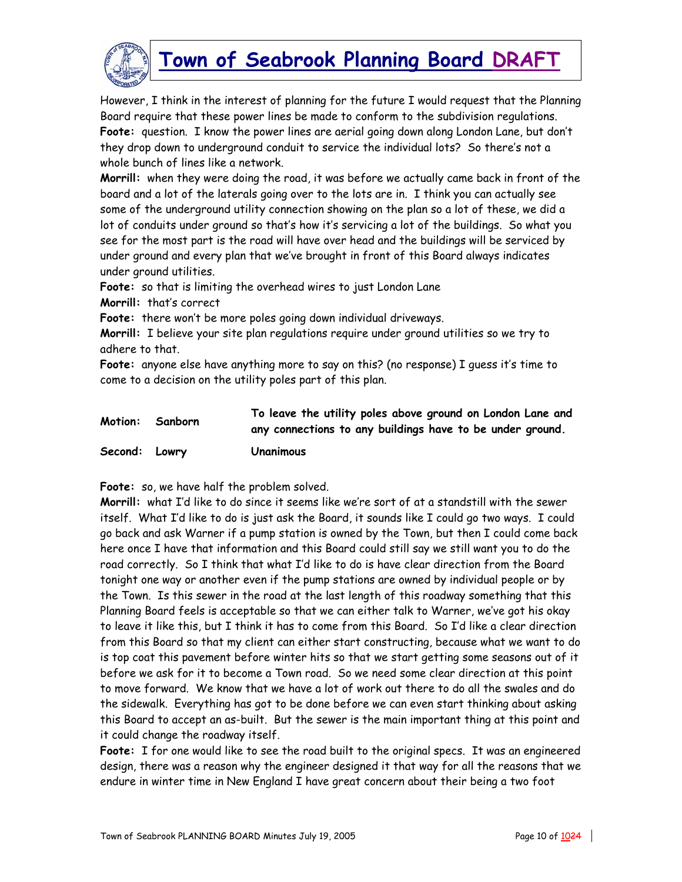

However, I think in the interest of planning for the future I would request that the Planning Board require that these power lines be made to conform to the subdivision regulations. **Foote:** question. I know the power lines are aerial going down along London Lane, but don't they drop down to underground conduit to service the individual lots? So there's not a whole bunch of lines like a network.

**Morrill:** when they were doing the road, it was before we actually came back in front of the board and a lot of the laterals going over to the lots are in. I think you can actually see some of the underground utility connection showing on the plan so a lot of these, we did a lot of conduits under ground so that's how it's servicing a lot of the buildings. So what you see for the most part is the road will have over head and the buildings will be serviced by under ground and every plan that we've brought in front of this Board always indicates under ground utilities.

**Foote:** so that is limiting the overhead wires to just London Lane

**Morrill:** that's correct

**Foote:** there won't be more poles going down individual driveways.

**Morrill:** I believe your site plan regulations require under ground utilities so we try to adhere to that.

**Foote:** anyone else have anything more to say on this? (no response) I guess it's time to come to a decision on the utility poles part of this plan.

#### **Motion: Sanborn To leave the utility poles above ground on London Lane and any connections to any buildings have to be under ground. Second: Lowry Unanimous**

**Foote:** so, we have half the problem solved.

**Morrill:** what I'd like to do since it seems like we're sort of at a standstill with the sewer itself. What I'd like to do is just ask the Board, it sounds like I could go two ways. I could go back and ask Warner if a pump station is owned by the Town, but then I could come back here once I have that information and this Board could still say we still want you to do the road correctly. So I think that what I'd like to do is have clear direction from the Board tonight one way or another even if the pump stations are owned by individual people or by the Town. Is this sewer in the road at the last length of this roadway something that this Planning Board feels is acceptable so that we can either talk to Warner, we've got his okay to leave it like this, but I think it has to come from this Board. So I'd like a clear direction from this Board so that my client can either start constructing, because what we want to do is top coat this pavement before winter hits so that we start getting some seasons out of it before we ask for it to become a Town road. So we need some clear direction at this point to move forward. We know that we have a lot of work out there to do all the swales and do the sidewalk. Everything has got to be done before we can even start thinking about asking this Board to accept an as-built. But the sewer is the main important thing at this point and it could change the roadway itself.

**Foote:** I for one would like to see the road built to the original specs. It was an engineered design, there was a reason why the engineer designed it that way for all the reasons that we endure in winter time in New England I have great concern about their being a two foot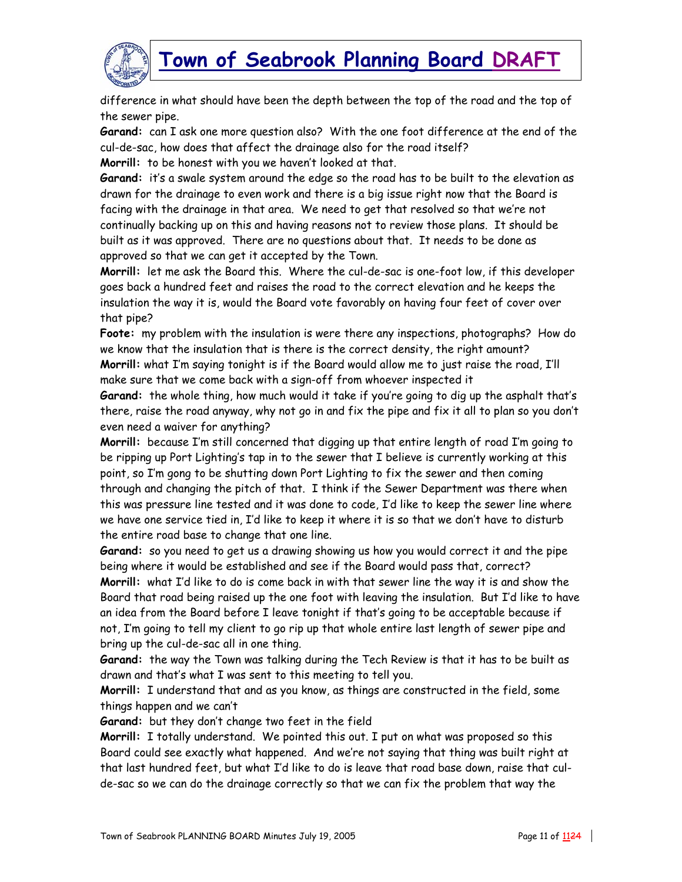



**Garand:** can I ask one more question also? With the one foot difference at the end of the cul-de-sac, how does that affect the drainage also for the road itself?

**Morrill:** to be honest with you we haven't looked at that.

**Garand:** it's a swale system around the edge so the road has to be built to the elevation as drawn for the drainage to even work and there is a big issue right now that the Board is facing with the drainage in that area. We need to get that resolved so that we're not continually backing up on this and having reasons not to review those plans. It should be built as it was approved. There are no questions about that. It needs to be done as approved so that we can get it accepted by the Town.

**Morrill:** let me ask the Board this. Where the cul-de-sac is one-foot low, if this developer goes back a hundred feet and raises the road to the correct elevation and he keeps the insulation the way it is, would the Board vote favorably on having four feet of cover over that pipe?

**Foote:** my problem with the insulation is were there any inspections, photographs? How do we know that the insulation that is there is the correct density, the right amount? **Morrill:** what I'm saying tonight is if the Board would allow me to just raise the road, I'll make sure that we come back with a sign-off from whoever inspected it

**Garand:** the whole thing, how much would it take if you're going to dig up the asphalt that's there, raise the road anyway, why not go in and fix the pipe and fix it all to plan so you don't even need a waiver for anything?

**Morrill:** because I'm still concerned that digging up that entire length of road I'm going to be ripping up Port Lighting's tap in to the sewer that I believe is currently working at this point, so I'm gong to be shutting down Port Lighting to fix the sewer and then coming through and changing the pitch of that. I think if the Sewer Department was there when this was pressure line tested and it was done to code, I'd like to keep the sewer line where we have one service tied in, I'd like to keep it where it is so that we don't have to disturb the entire road base to change that one line.

**Garand:** so you need to get us a drawing showing us how you would correct it and the pipe being where it would be established and see if the Board would pass that, correct? **Morrill:** what I'd like to do is come back in with that sewer line the way it is and show the Board that road being raised up the one foot with leaving the insulation. But I'd like to have an idea from the Board before I leave tonight if that's going to be acceptable because if not, I'm going to tell my client to go rip up that whole entire last length of sewer pipe and bring up the cul-de-sac all in one thing.

**Garand:** the way the Town was talking during the Tech Review is that it has to be built as drawn and that's what I was sent to this meeting to tell you.

**Morrill:** I understand that and as you know, as things are constructed in the field, some things happen and we can't

**Garand:** but they don't change two feet in the field

**Morrill:** I totally understand. We pointed this out. I put on what was proposed so this Board could see exactly what happened. And we're not saying that thing was built right at that last hundred feet, but what I'd like to do is leave that road base down, raise that culde-sac so we can do the drainage correctly so that we can fix the problem that way the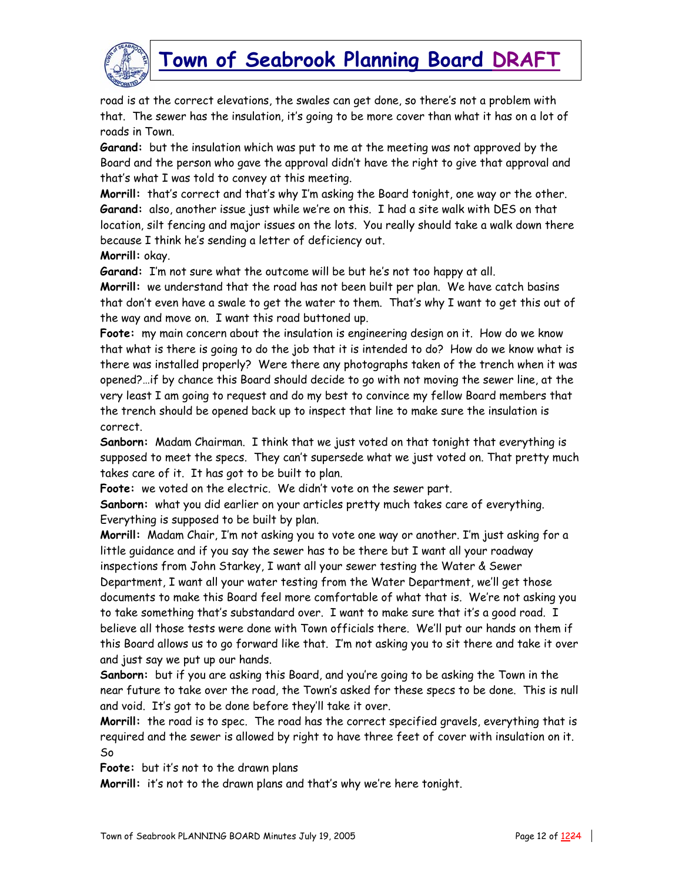

road is at the correct elevations, the swales can get done, so there's not a problem with that. The sewer has the insulation, it's going to be more cover than what it has on a lot of roads in Town.

**Garand:** but the insulation which was put to me at the meeting was not approved by the Board and the person who gave the approval didn't have the right to give that approval and that's what I was told to convey at this meeting.

**Morrill:** that's correct and that's why I'm asking the Board tonight, one way or the other. **Garand:** also, another issue just while we're on this. I had a site walk with DES on that location, silt fencing and major issues on the lots. You really should take a walk down there because I think he's sending a letter of deficiency out.

**Morrill:** okay.

**Garand:** I'm not sure what the outcome will be but he's not too happy at all.

**Morrill:** we understand that the road has not been built per plan. We have catch basins that don't even have a swale to get the water to them. That's why I want to get this out of the way and move on. I want this road buttoned up.

**Foote:** my main concern about the insulation is engineering design on it. How do we know that what is there is going to do the job that it is intended to do? How do we know what is there was installed properly? Were there any photographs taken of the trench when it was opened?…if by chance this Board should decide to go with not moving the sewer line, at the very least I am going to request and do my best to convince my fellow Board members that the trench should be opened back up to inspect that line to make sure the insulation is correct.

**Sanborn:** Madam Chairman. I think that we just voted on that tonight that everything is supposed to meet the specs. They can't supersede what we just voted on. That pretty much takes care of it. It has got to be built to plan.

**Foote:** we voted on the electric. We didn't vote on the sewer part.

**Sanborn:** what you did earlier on your articles pretty much takes care of everything. Everything is supposed to be built by plan.

**Morrill:** Madam Chair, I'm not asking you to vote one way or another. I'm just asking for a little guidance and if you say the sewer has to be there but I want all your roadway inspections from John Starkey, I want all your sewer testing the Water & Sewer Department, I want all your water testing from the Water Department, we'll get those documents to make this Board feel more comfortable of what that is. We're not asking you to take something that's substandard over. I want to make sure that it's a good road. I believe all those tests were done with Town officials there. We'll put our hands on them if this Board allows us to go forward like that. I'm not asking you to sit there and take it over and just say we put up our hands.

**Sanborn:** but if you are asking this Board, and you're going to be asking the Town in the near future to take over the road, the Town's asked for these specs to be done. This is null and void. It's got to be done before they'll take it over.

**Morrill:** the road is to spec. The road has the correct specified gravels, everything that is required and the sewer is allowed by right to have three feet of cover with insulation on it. So

**Foote:** but it's not to the drawn plans

**Morrill:** it's not to the drawn plans and that's why we're here tonight.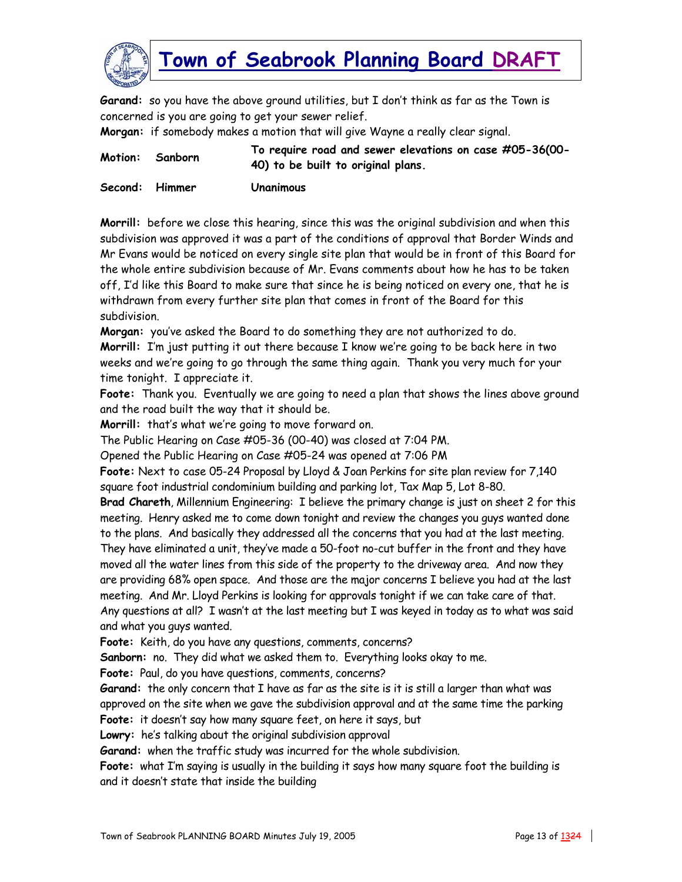

**Garand:** so you have the above ground utilities, but I don't think as far as the Town is concerned is you are going to get your sewer relief.

**Morgan:** if somebody makes a motion that will give Wayne a really clear signal.

| Motion: Sanborn | To require road and sewer elevations on case #05-36(00- |
|-----------------|---------------------------------------------------------|
|                 | 40) to be built to original plans.                      |
|                 |                                                         |

**Second: Himmer Unanimous** 

**Morrill:** before we close this hearing, since this was the original subdivision and when this subdivision was approved it was a part of the conditions of approval that Border Winds and Mr Evans would be noticed on every single site plan that would be in front of this Board for the whole entire subdivision because of Mr. Evans comments about how he has to be taken off, I'd like this Board to make sure that since he is being noticed on every one, that he is withdrawn from every further site plan that comes in front of the Board for this subdivision.

**Morgan:** you've asked the Board to do something they are not authorized to do.

**Morrill:** I'm just putting it out there because I know we're going to be back here in two weeks and we're going to go through the same thing again. Thank you very much for your time tonight. I appreciate it.

**Foote:** Thank you. Eventually we are going to need a plan that shows the lines above ground and the road built the way that it should be.

**Morrill:** that's what we're going to move forward on.

The Public Hearing on Case #05-36 (00-40) was closed at 7:04 PM.

Opened the Public Hearing on Case #05-24 was opened at 7:06 PM

**Foote:** Next to case 05-24 Proposal by Lloyd & Joan Perkins for site plan review for 7,140 square foot industrial condominium building and parking lot, Tax Map 5, Lot 8-80.

**Brad Chareth**, Millennium Engineering: I believe the primary change is just on sheet 2 for this meeting. Henry asked me to come down tonight and review the changes you guys wanted done to the plans. And basically they addressed all the concerns that you had at the last meeting. They have eliminated a unit, they've made a 50-foot no-cut buffer in the front and they have moved all the water lines from this side of the property to the driveway area. And now they are providing 68% open space. And those are the major concerns I believe you had at the last meeting. And Mr. Lloyd Perkins is looking for approvals tonight if we can take care of that. Any questions at all? I wasn't at the last meeting but I was keyed in today as to what was said and what you guys wanted.

**Foote:** Keith, do you have any questions, comments, concerns?

**Sanborn:** no. They did what we asked them to. Everything looks okay to me.

**Foote:** Paul, do you have questions, comments, concerns?

**Garand:** the only concern that I have as far as the site is it is still a larger than what was approved on the site when we gave the subdivision approval and at the same time the parking

**Foote:** it doesn't say how many square feet, on here it says, but

**Lowry:** he's talking about the original subdivision approval

**Garand:** when the traffic study was incurred for the whole subdivision.

**Foote:** what I'm saying is usually in the building it says how many square foot the building is and it doesn't state that inside the building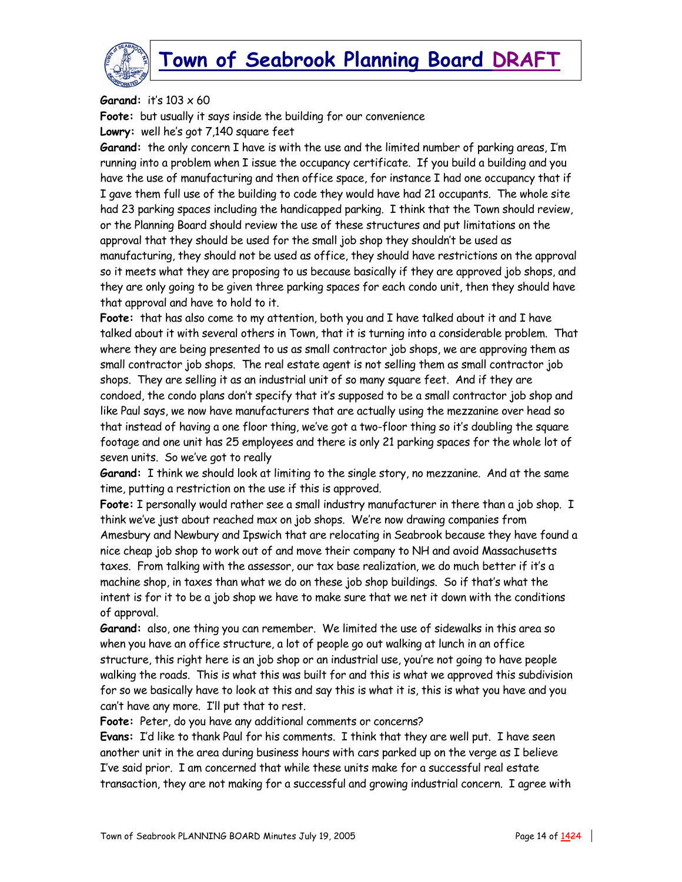

**Garand:** it's 103 x 60

**Foote:** but usually it says inside the building for our convenience **Lowry:** well he's got 7,140 square feet

**Garand:** the only concern I have is with the use and the limited number of parking areas, I'm running into a problem when I issue the occupancy certificate. If you build a building and you have the use of manufacturing and then office space, for instance I had one occupancy that if I gave them full use of the building to code they would have had 21 occupants. The whole site had 23 parking spaces including the handicapped parking. I think that the Town should review, or the Planning Board should review the use of these structures and put limitations on the approval that they should be used for the small job shop they shouldn't be used as manufacturing, they should not be used as office, they should have restrictions on the approval so it meets what they are proposing to us because basically if they are approved job shops, and they are only going to be given three parking spaces for each condo unit, then they should have that approval and have to hold to it.

**Foote:** that has also come to my attention, both you and I have talked about it and I have talked about it with several others in Town, that it is turning into a considerable problem. That where they are being presented to us as small contractor job shops, we are approving them as small contractor job shops. The real estate agent is not selling them as small contractor job shops. They are selling it as an industrial unit of so many square feet. And if they are condoed, the condo plans don't specify that it's supposed to be a small contractor job shop and like Paul says, we now have manufacturers that are actually using the mezzanine over head so that instead of having a one floor thing, we've got a two-floor thing so it's doubling the square footage and one unit has 25 employees and there is only 21 parking spaces for the whole lot of seven units. So we've got to really

**Garand:** I think we should look at limiting to the single story, no mezzanine. And at the same time, putting a restriction on the use if this is approved.

**Foote:** I personally would rather see a small industry manufacturer in there than a job shop. I think we've just about reached max on job shops. We're now drawing companies from Amesbury and Newbury and Ipswich that are relocating in Seabrook because they have found a nice cheap job shop to work out of and move their company to NH and avoid Massachusetts taxes. From talking with the assessor, our tax base realization, we do much better if it's a machine shop, in taxes than what we do on these job shop buildings. So if that's what the intent is for it to be a job shop we have to make sure that we net it down with the conditions of approval.

**Garand:** also, one thing you can remember. We limited the use of sidewalks in this area so when you have an office structure, a lot of people go out walking at lunch in an office structure, this right here is an job shop or an industrial use, you're not going to have people walking the roads. This is what this was built for and this is what we approved this subdivision for so we basically have to look at this and say this is what it is, this is what you have and you can't have any more. I'll put that to rest.

**Foote:** Peter, do you have any additional comments or concerns?

**Evans:** I'd like to thank Paul for his comments. I think that they are well put. I have seen another unit in the area during business hours with cars parked up on the verge as I believe I've said prior. I am concerned that while these units make for a successful real estate transaction, they are not making for a successful and growing industrial concern. I agree with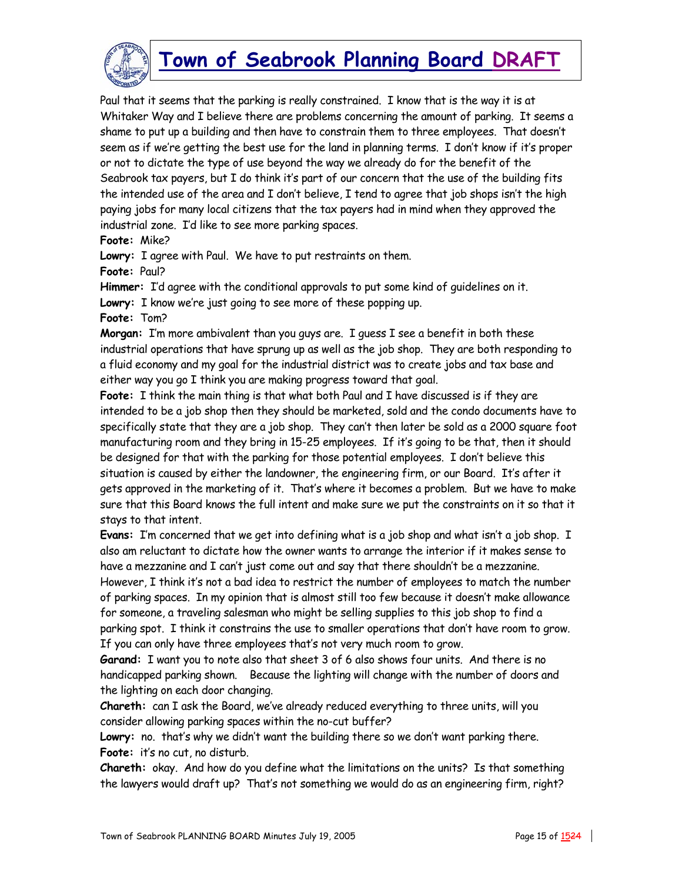

Paul that it seems that the parking is really constrained. I know that is the way it is at Whitaker Way and I believe there are problems concerning the amount of parking. It seems a shame to put up a building and then have to constrain them to three employees. That doesn't seem as if we're getting the best use for the land in planning terms. I don't know if it's proper or not to dictate the type of use beyond the way we already do for the benefit of the Seabrook tax payers, but I do think it's part of our concern that the use of the building fits the intended use of the area and I don't believe, I tend to agree that job shops isn't the high paying jobs for many local citizens that the tax payers had in mind when they approved the industrial zone. I'd like to see more parking spaces.

**Foote:** Mike?

**Lowry:** I agree with Paul. We have to put restraints on them.

**Foote:** Paul?

**Himmer:** I'd agree with the conditional approvals to put some kind of guidelines on it.

**Lowry:** I know we're just going to see more of these popping up.

**Foote:** Tom?

**Morgan:** I'm more ambivalent than you guys are. I guess I see a benefit in both these industrial operations that have sprung up as well as the job shop. They are both responding to a fluid economy and my goal for the industrial district was to create jobs and tax base and either way you go I think you are making progress toward that goal.

**Foote:** I think the main thing is that what both Paul and I have discussed is if they are intended to be a job shop then they should be marketed, sold and the condo documents have to specifically state that they are a job shop. They can't then later be sold as a 2000 square foot manufacturing room and they bring in 15-25 employees. If it's going to be that, then it should be designed for that with the parking for those potential employees. I don't believe this situation is caused by either the landowner, the engineering firm, or our Board. It's after it gets approved in the marketing of it. That's where it becomes a problem. But we have to make sure that this Board knows the full intent and make sure we put the constraints on it so that it stays to that intent.

**Evans:** I'm concerned that we get into defining what is a job shop and what isn't a job shop. I also am reluctant to dictate how the owner wants to arrange the interior if it makes sense to have a mezzanine and I can't just come out and say that there shouldn't be a mezzanine. However, I think it's not a bad idea to restrict the number of employees to match the number of parking spaces. In my opinion that is almost still too few because it doesn't make allowance for someone, a traveling salesman who might be selling supplies to this job shop to find a parking spot. I think it constrains the use to smaller operations that don't have room to grow. If you can only have three employees that's not very much room to grow.

**Garand:** I want you to note also that sheet 3 of 6 also shows four units. And there is no handicapped parking shown. Because the lighting will change with the number of doors and the lighting on each door changing.

**Chareth:** can I ask the Board, we've already reduced everything to three units, will you consider allowing parking spaces within the no-cut buffer?

**Lowry:** no. that's why we didn't want the building there so we don't want parking there. **Foote:** it's no cut, no disturb.

**Chareth:** okay. And how do you define what the limitations on the units? Is that something the lawyers would draft up? That's not something we would do as an engineering firm, right?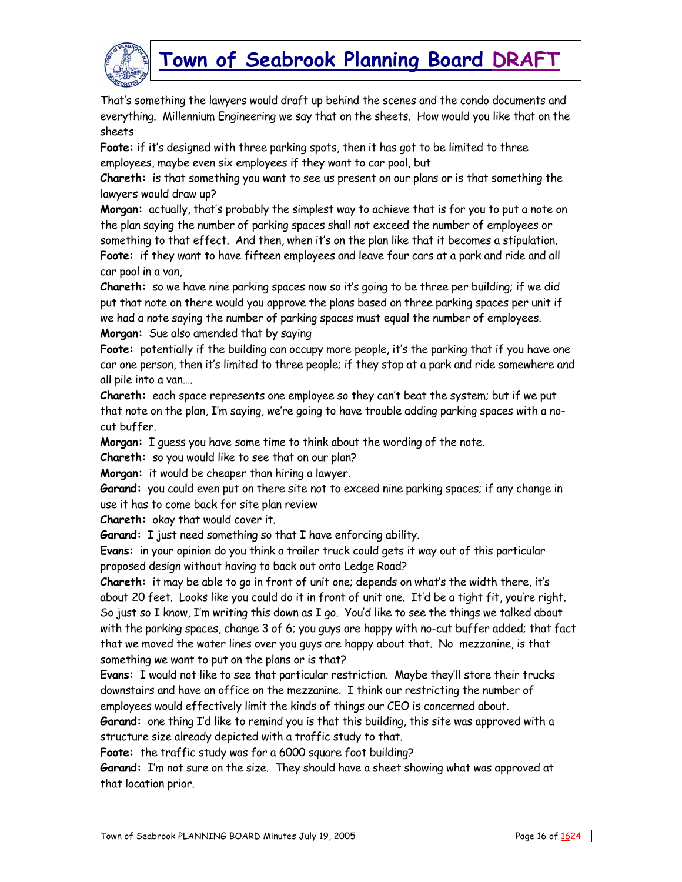

That's something the lawyers would draft up behind the scenes and the condo documents and everything. Millennium Engineering we say that on the sheets. How would you like that on the sheets

**Foote:** if it's designed with three parking spots, then it has got to be limited to three employees, maybe even six employees if they want to car pool, but

**Chareth:** is that something you want to see us present on our plans or is that something the lawyers would draw up?

**Morgan:** actually, that's probably the simplest way to achieve that is for you to put a note on the plan saying the number of parking spaces shall not exceed the number of employees or something to that effect. And then, when it's on the plan like that it becomes a stipulation. **Foote:** if they want to have fifteen employees and leave four cars at a park and ride and all car pool in a van,

**Chareth:** so we have nine parking spaces now so it's going to be three per building; if we did put that note on there would you approve the plans based on three parking spaces per unit if we had a note saying the number of parking spaces must equal the number of employees. **Morgan:** Sue also amended that by saying

Foote: potentially if the building can occupy more people, it's the parking that if you have one car one person, then it's limited to three people; if they stop at a park and ride somewhere and all pile into a van….

**Chareth:** each space represents one employee so they can't beat the system; but if we put that note on the plan, I'm saying, we're going to have trouble adding parking spaces with a nocut buffer.

**Morgan:** I guess you have some time to think about the wording of the note.

**Chareth:** so you would like to see that on our plan?

**Morgan:** it would be cheaper than hiring a lawyer.

**Garand:** you could even put on there site not to exceed nine parking spaces; if any change in use it has to come back for site plan review

**Chareth:** okay that would cover it.

**Garand:** I just need something so that I have enforcing ability.

**Evans:** in your opinion do you think a trailer truck could gets it way out of this particular proposed design without having to back out onto Ledge Road?

**Chareth:** it may be able to go in front of unit one; depends on what's the width there, it's about 20 feet. Looks like you could do it in front of unit one. It'd be a tight fit, you're right. So just so I know, I'm writing this down as I go. You'd like to see the things we talked about with the parking spaces, change 3 of 6; you guys are happy with no-cut buffer added; that fact that we moved the water lines over you guys are happy about that. No mezzanine, is that something we want to put on the plans or is that?

**Evans:** I would not like to see that particular restriction. Maybe they'll store their trucks downstairs and have an office on the mezzanine. I think our restricting the number of employees would effectively limit the kinds of things our CEO is concerned about.

**Garand:** one thing I'd like to remind you is that this building, this site was approved with a structure size already depicted with a traffic study to that.

**Foote:** the traffic study was for a 6000 square foot building?

**Garand:** I'm not sure on the size. They should have a sheet showing what was approved at that location prior.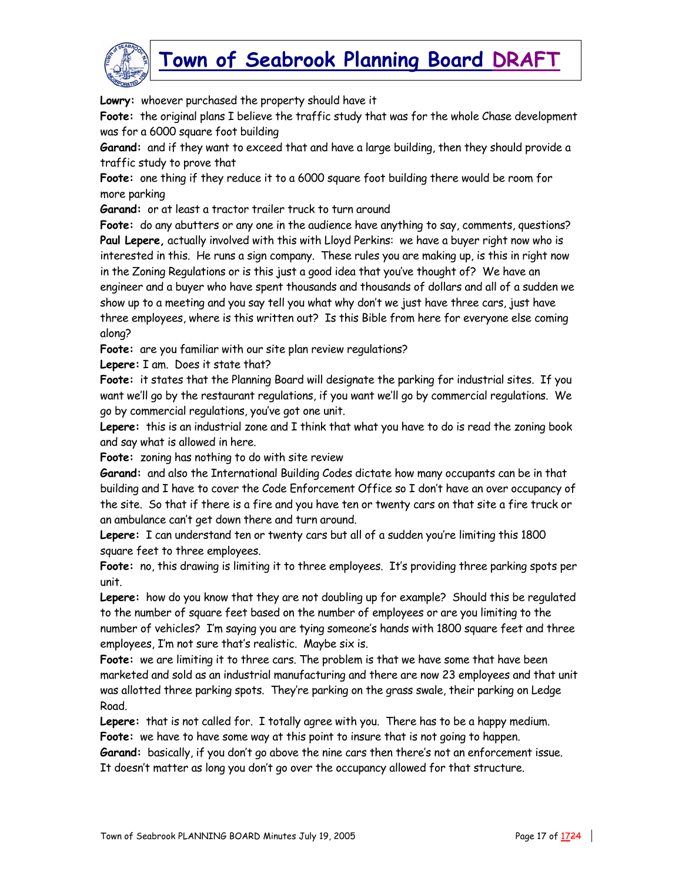

**Lowry:** whoever purchased the property should have it

**Foote:** the original plans I believe the traffic study that was for the whole Chase development was for a 6000 square foot building

**Garand:** and if they want to exceed that and have a large building, then they should provide a traffic study to prove that

**Foote:** one thing if they reduce it to a 6000 square foot building there would be room for more parking

**Garand:** or at least a tractor trailer truck to turn around

**Foote:** do any abutters or any one in the audience have anything to say, comments, questions? **Paul Lepere,** actually involved with this with Lloyd Perkins: we have a buyer right now who is interested in this. He runs a sign company. These rules you are making up, is this in right now in the Zoning Regulations or is this just a good idea that you've thought of? We have an engineer and a buyer who have spent thousands and thousands of dollars and all of a sudden we show up to a meeting and you say tell you what why don't we just have three cars, just have three employees, where is this written out? Is this Bible from here for everyone else coming along?

**Foote:** are you familiar with our site plan review regulations?

**Lepere:** I am. Does it state that?

**Foote:** it states that the Planning Board will designate the parking for industrial sites. If you want we'll go by the restaurant regulations, if you want we'll go by commercial regulations. We go by commercial regulations, you've got one unit.

**Lepere:** this is an industrial zone and I think that what you have to do is read the zoning book and say what is allowed in here.

**Foote:** zoning has nothing to do with site review

**Garand:** and also the International Building Codes dictate how many occupants can be in that building and I have to cover the Code Enforcement Office so I don't have an over occupancy of the site. So that if there is a fire and you have ten or twenty cars on that site a fire truck or an ambulance can't get down there and turn around.

**Lepere:** I can understand ten or twenty cars but all of a sudden you're limiting this 1800 square feet to three employees.

**Foote:** no, this drawing is limiting it to three employees. It's providing three parking spots per unit.

**Lepere:** how do you know that they are not doubling up for example? Should this be regulated to the number of square feet based on the number of employees or are you limiting to the number of vehicles? I'm saying you are tying someone's hands with 1800 square feet and three employees, I'm not sure that's realistic. Maybe six is.

**Foote:** we are limiting it to three cars. The problem is that we have some that have been marketed and sold as an industrial manufacturing and there are now 23 employees and that unit was allotted three parking spots. They're parking on the grass swale, their parking on Ledge Road.

**Lepere:** that is not called for. I totally agree with you. There has to be a happy medium. **Foote:** we have to have some way at this point to insure that is not going to happen.

**Garand:** basically, if you don't go above the nine cars then there's not an enforcement issue. It doesn't matter as long you don't go over the occupancy allowed for that structure.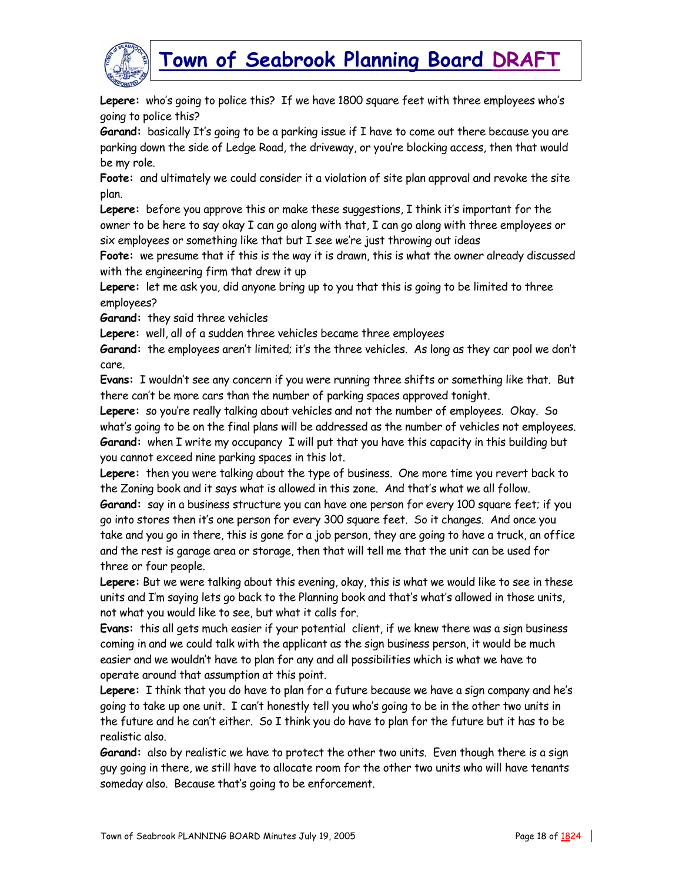

**Lepere:** who's going to police this? If we have 1800 square feet with three employees who's going to police this?

**Garand:** basically It's going to be a parking issue if I have to come out there because you are parking down the side of Ledge Road, the driveway, or you're blocking access, then that would be my role.

**Foote:** and ultimately we could consider it a violation of site plan approval and revoke the site plan.

**Lepere:** before you approve this or make these suggestions, I think it's important for the owner to be here to say okay I can go along with that, I can go along with three employees or six employees or something like that but I see we're just throwing out ideas

**Foote:** we presume that if this is the way it is drawn, this is what the owner already discussed with the engineering firm that drew it up

**Lepere:** let me ask you, did anyone bring up to you that this is going to be limited to three employees?

**Garand:** they said three vehicles

**Lepere:** well, all of a sudden three vehicles became three employees

**Garand:** the employees aren't limited; it's the three vehicles. As long as they car pool we don't care.

**Evans:** I wouldn't see any concern if you were running three shifts or something like that. But there can't be more cars than the number of parking spaces approved tonight.

**Lepere:** so you're really talking about vehicles and not the number of employees. Okay. So what's going to be on the final plans will be addressed as the number of vehicles not employees. **Garand:** when I write my occupancy I will put that you have this capacity in this building but you cannot exceed nine parking spaces in this lot.

**Lepere:** then you were talking about the type of business. One more time you revert back to the Zoning book and it says what is allowed in this zone. And that's what we all follow.

**Garand:** say in a business structure you can have one person for every 100 square feet; if you go into stores then it's one person for every 300 square feet. So it changes. And once you take and you go in there, this is gone for a job person, they are going to have a truck, an office and the rest is garage area or storage, then that will tell me that the unit can be used for three or four people.

**Lepere:** But we were talking about this evening, okay, this is what we would like to see in these units and I'm saying lets go back to the Planning book and that's what's allowed in those units, not what you would like to see, but what it calls for.

**Evans:** this all gets much easier if your potential client, if we knew there was a sign business coming in and we could talk with the applicant as the sign business person, it would be much easier and we wouldn't have to plan for any and all possibilities which is what we have to operate around that assumption at this point.

**Lepere:** I think that you do have to plan for a future because we have a sign company and he's going to take up one unit. I can't honestly tell you who's going to be in the other two units in the future and he can't either. So I think you do have to plan for the future but it has to be realistic also.

**Garand:** also by realistic we have to protect the other two units. Even though there is a sign guy going in there, we still have to allocate room for the other two units who will have tenants someday also. Because that's going to be enforcement.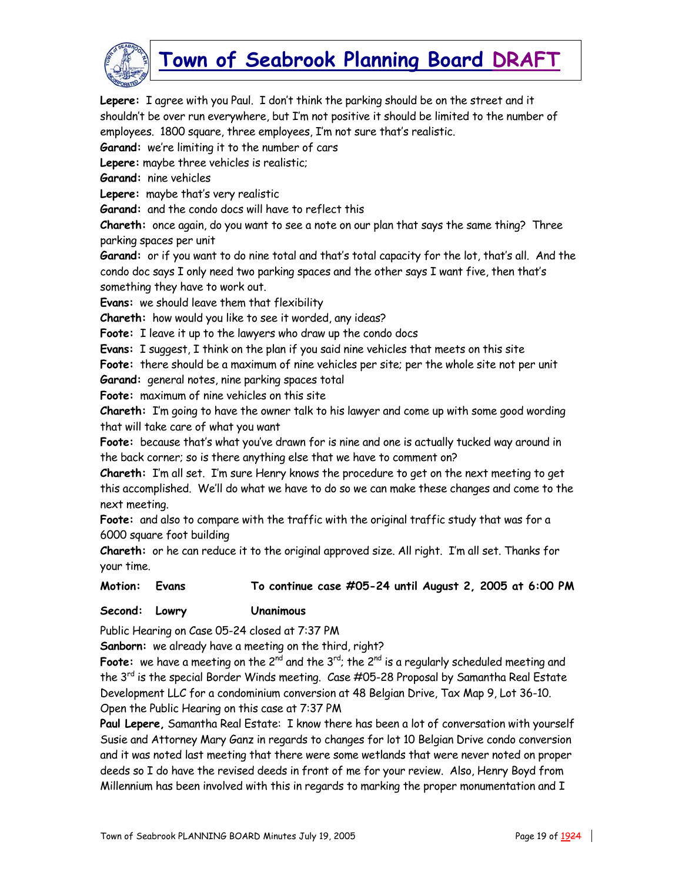

**Lepere:** I agree with you Paul. I don't think the parking should be on the street and it shouldn't be over run everywhere, but I'm not positive it should be limited to the number of employees. 1800 square, three employees, I'm not sure that's realistic.

**Garand:** we're limiting it to the number of cars

**Lepere:** maybe three vehicles is realistic;

**Garand:** nine vehicles

**Lepere:** maybe that's very realistic

**Garand:** and the condo docs will have to reflect this

**Chareth:** once again, do you want to see a note on our plan that says the same thing? Three parking spaces per unit

**Garand:** or if you want to do nine total and that's total capacity for the lot, that's all. And the condo doc says I only need two parking spaces and the other says I want five, then that's something they have to work out.

**Evans:** we should leave them that flexibility

**Chareth:** how would you like to see it worded, any ideas?

**Foote:** I leave it up to the lawyers who draw up the condo docs

**Evans:** I suggest, I think on the plan if you said nine vehicles that meets on this site

**Foote:** there should be a maximum of nine vehicles per site; per the whole site not per unit

**Garand:** general notes, nine parking spaces total

**Foote:** maximum of nine vehicles on this site

**Chareth:** I'm going to have the owner talk to his lawyer and come up with some good wording that will take care of what you want

**Foote:** because that's what you've drawn for is nine and one is actually tucked way around in the back corner; so is there anything else that we have to comment on?

**Chareth:** I'm all set. I'm sure Henry knows the procedure to get on the next meeting to get this accomplished. We'll do what we have to do so we can make these changes and come to the next meeting.

**Foote:** and also to compare with the traffic with the original traffic study that was for a 6000 square foot building

**Chareth:** or he can reduce it to the original approved size. All right. I'm all set. Thanks for your time.

**Motion: Evans To continue case #05-24 until August 2, 2005 at 6:00 PM** 

#### **Second: Lowry Unanimous**

Public Hearing on Case 05-24 closed at 7:37 PM

**Sanborn:** we already have a meeting on the third, right?

Foote: we have a meeting on the 2<sup>nd</sup> and the 3<sup>rd</sup>; the 2<sup>nd</sup> is a regularly scheduled meeting and the 3<sup>rd</sup> is the special Border Winds meeting. Case #05-28 Proposal by Samantha Real Estate Development LLC for a condominium conversion at 48 Belgian Drive, Tax Map 9, Lot 36-10. Open the Public Hearing on this case at 7:37 PM

**Paul Lepere,** Samantha Real Estate: I know there has been a lot of conversation with yourself Susie and Attorney Mary Ganz in regards to changes for lot 10 Belgian Drive condo conversion and it was noted last meeting that there were some wetlands that were never noted on proper deeds so I do have the revised deeds in front of me for your review. Also, Henry Boyd from Millennium has been involved with this in regards to marking the proper monumentation and I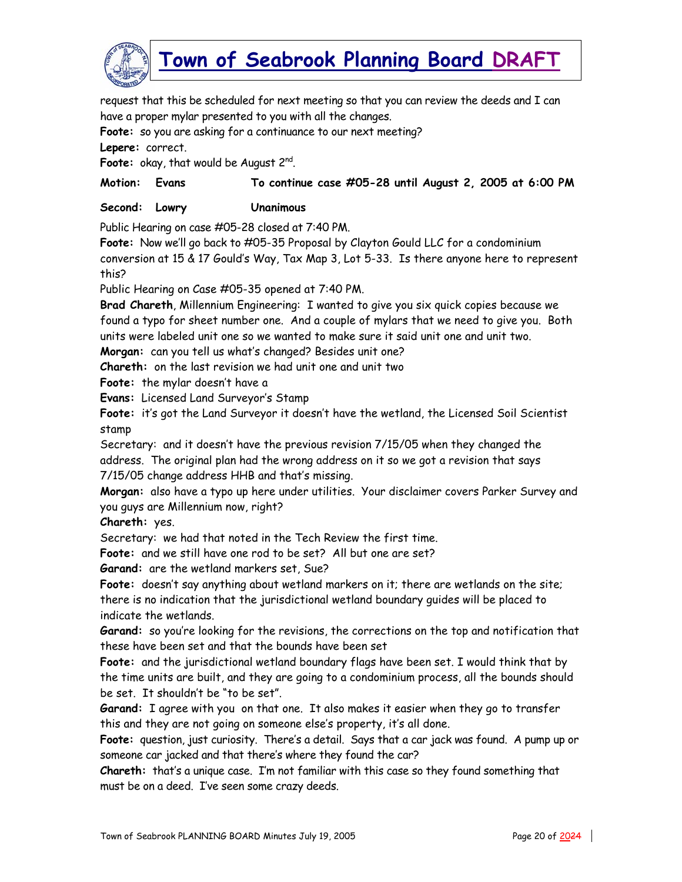

request that this be scheduled for next meeting so that you can review the deeds and I can have a proper mylar presented to you with all the changes.

**Foote:** so you are asking for a continuance to our next meeting?

**Lepere:** correct.

Foote: okay, that would be August 2<sup>nd</sup>.

**Motion: Evans To continue case #05-28 until August 2, 2005 at 6:00 PM** 

**Second: Lowry Unanimous** 

Public Hearing on case #05-28 closed at 7:40 PM.

**Foote:** Now we'll go back to #05-35 Proposal by Clayton Gould LLC for a condominium conversion at 15 & 17 Gould's Way, Tax Map 3, Lot 5-33. Is there anyone here to represent this?

Public Hearing on Case #05-35 opened at 7:40 PM.

**Brad Chareth**, Millennium Engineering: I wanted to give you six quick copies because we found a typo for sheet number one. And a couple of mylars that we need to give you. Both units were labeled unit one so we wanted to make sure it said unit one and unit two.

**Morgan:** can you tell us what's changed? Besides unit one?

**Chareth:** on the last revision we had unit one and unit two

**Foote:** the mylar doesn't have a

**Evans:** Licensed Land Surveyor's Stamp

**Foote:** it's got the Land Surveyor it doesn't have the wetland, the Licensed Soil Scientist stamp

Secretary: and it doesn't have the previous revision 7/15/05 when they changed the address. The original plan had the wrong address on it so we got a revision that says 7/15/05 change address HHB and that's missing.

**Morgan:** also have a typo up here under utilities. Your disclaimer covers Parker Survey and you guys are Millennium now, right?

**Chareth:** yes.

Secretary: we had that noted in the Tech Review the first time.

**Foote:** and we still have one rod to be set? All but one are set?

**Garand:** are the wetland markers set, Sue?

**Foote:** doesn't say anything about wetland markers on it; there are wetlands on the site; there is no indication that the jurisdictional wetland boundary guides will be placed to indicate the wetlands.

**Garand:** so you're looking for the revisions, the corrections on the top and notification that these have been set and that the bounds have been set

**Foote:** and the jurisdictional wetland boundary flags have been set. I would think that by the time units are built, and they are going to a condominium process, all the bounds should be set. It shouldn't be "to be set".

**Garand:** I agree with you on that one. It also makes it easier when they go to transfer this and they are not going on someone else's property, it's all done.

**Foote:** question, just curiosity. There's a detail. Says that a car jack was found. A pump up or someone car jacked and that there's where they found the car?

**Chareth:** that's a unique case. I'm not familiar with this case so they found something that must be on a deed. I've seen some crazy deeds.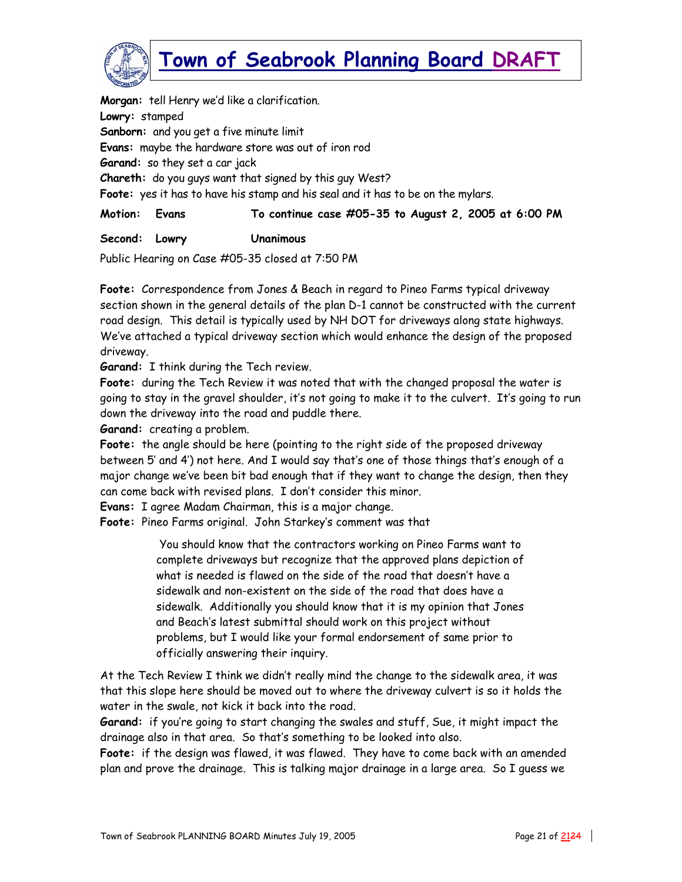

**Morgan:** tell Henry we'd like a clarification. **Lowry:** stamped **Sanborn:** and you get a five minute limit **Evans:** maybe the hardware store was out of iron rod **Garand:** so they set a car jack **Chareth:** do you guys want that signed by this guy West? **Foote:** yes it has to have his stamp and his seal and it has to be on the mylars.

**Motion: Evans To continue case #05-35 to August 2, 2005 at 6:00 PM** 

**Second: Lowry Unanimous** 

Public Hearing on Case #05-35 closed at 7:50 PM

**Foote:** Correspondence from Jones & Beach in regard to Pineo Farms typical driveway section shown in the general details of the plan D-1 cannot be constructed with the current road design. This detail is typically used by NH DOT for driveways along state highways. We've attached a typical driveway section which would enhance the design of the proposed driveway.

**Garand:** I think during the Tech review.

**Foote:** during the Tech Review it was noted that with the changed proposal the water is going to stay in the gravel shoulder, it's not going to make it to the culvert. It's going to run down the driveway into the road and puddle there.

**Garand:** creating a problem.

**Foote:** the angle should be here (pointing to the right side of the proposed driveway between 5' and 4') not here. And I would say that's one of those things that's enough of a major change we've been bit bad enough that if they want to change the design, then they can come back with revised plans. I don't consider this minor.

**Evans:** I agree Madam Chairman, this is a major change.

**Foote:** Pineo Farms original. John Starkey's comment was that

 You should know that the contractors working on Pineo Farms want to complete driveways but recognize that the approved plans depiction of what is needed is flawed on the side of the road that doesn't have a sidewalk and non-existent on the side of the road that does have a sidewalk. Additionally you should know that it is my opinion that Jones and Beach's latest submittal should work on this project without problems, but I would like your formal endorsement of same prior to officially answering their inquiry.

At the Tech Review I think we didn't really mind the change to the sidewalk area, it was that this slope here should be moved out to where the driveway culvert is so it holds the water in the swale, not kick it back into the road.

**Garand:** if you're going to start changing the swales and stuff, Sue, it might impact the drainage also in that area. So that's something to be looked into also.

**Foote:** if the design was flawed, it was flawed. They have to come back with an amended plan and prove the drainage. This is talking major drainage in a large area. So I guess we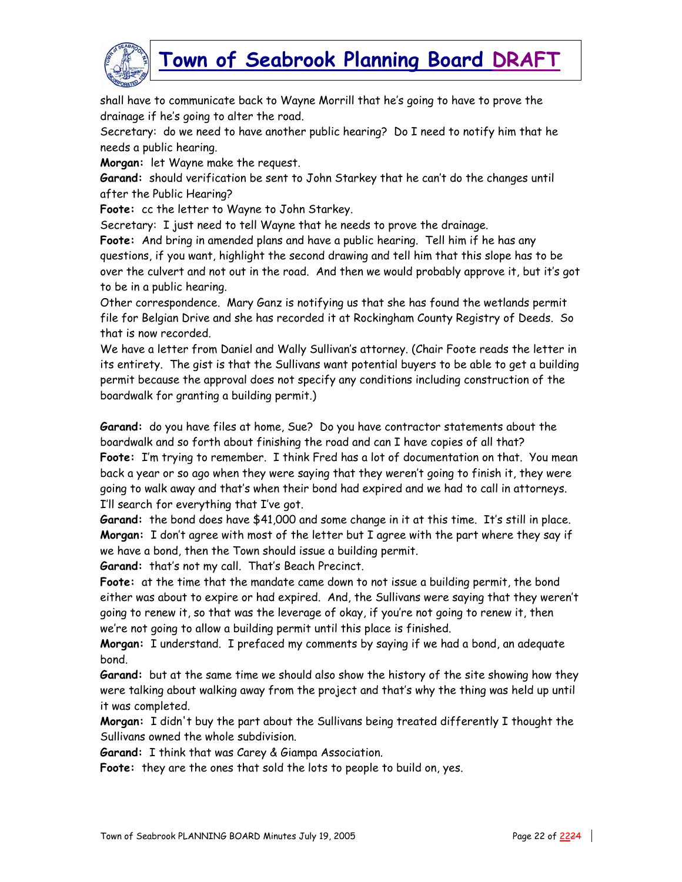

shall have to communicate back to Wayne Morrill that he's going to have to prove the drainage if he's going to alter the road.

Secretary: do we need to have another public hearing? Do I need to notify him that he needs a public hearing.

**Morgan:** let Wayne make the request.

**Garand:** should verification be sent to John Starkey that he can't do the changes until after the Public Hearing?

**Foote:** cc the letter to Wayne to John Starkey.

Secretary: I just need to tell Wayne that he needs to prove the drainage.

**Foote:** And bring in amended plans and have a public hearing. Tell him if he has any questions, if you want, highlight the second drawing and tell him that this slope has to be over the culvert and not out in the road. And then we would probably approve it, but it's got to be in a public hearing.

Other correspondence. Mary Ganz is notifying us that she has found the wetlands permit file for Belgian Drive and she has recorded it at Rockingham County Registry of Deeds. So that is now recorded.

We have a letter from Daniel and Wally Sullivan's attorney. (Chair Foote reads the letter in its entirety. The gist is that the Sullivans want potential buyers to be able to get a building permit because the approval does not specify any conditions including construction of the boardwalk for granting a building permit.)

**Garand:** do you have files at home, Sue? Do you have contractor statements about the boardwalk and so forth about finishing the road and can I have copies of all that? **Foote:** I'm trying to remember. I think Fred has a lot of documentation on that. You mean back a year or so ago when they were saying that they weren't going to finish it, they were going to walk away and that's when their bond had expired and we had to call in attorneys. I'll search for everything that I've got.

**Garand:** the bond does have \$41,000 and some change in it at this time. It's still in place. **Morgan:** I don't agree with most of the letter but I agree with the part where they say if we have a bond, then the Town should issue a building permit.

**Garand:** that's not my call. That's Beach Precinct.

**Foote:** at the time that the mandate came down to not issue a building permit, the bond either was about to expire or had expired. And, the Sullivans were saying that they weren't going to renew it, so that was the leverage of okay, if you're not going to renew it, then we're not going to allow a building permit until this place is finished.

**Morgan:** I understand. I prefaced my comments by saying if we had a bond, an adequate bond.

**Garand:** but at the same time we should also show the history of the site showing how they were talking about walking away from the project and that's why the thing was held up until it was completed.

**Morgan:** I didn't buy the part about the Sullivans being treated differently I thought the Sullivans owned the whole subdivision.

**Garand:** I think that was Carey & Giampa Association.

**Foote:** they are the ones that sold the lots to people to build on, yes.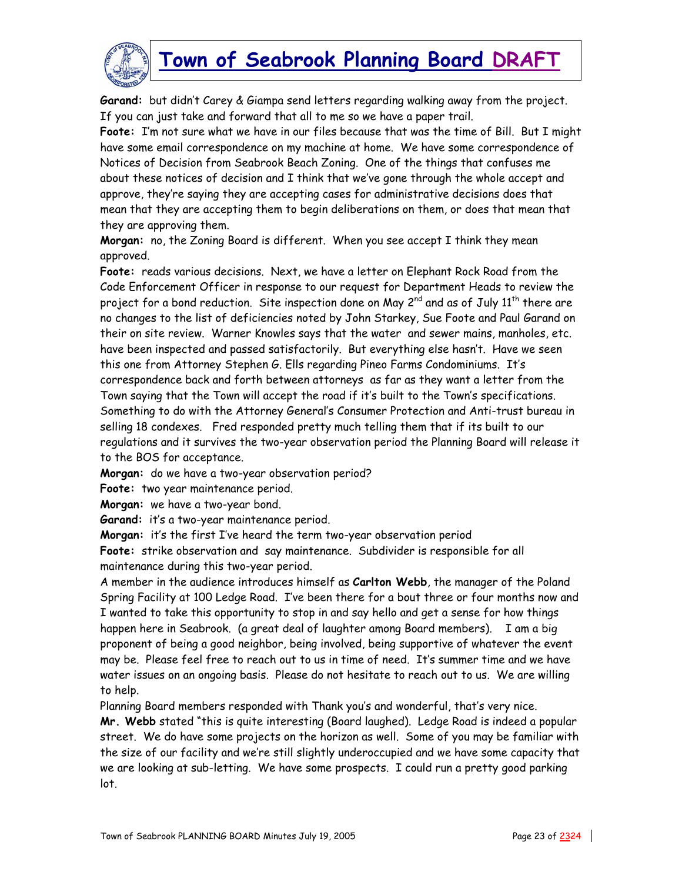

**Garand:** but didn't Carey & Giampa send letters regarding walking away from the project. If you can just take and forward that all to me so we have a paper trail.

**Foote:** I'm not sure what we have in our files because that was the time of Bill. But I might have some email correspondence on my machine at home. We have some correspondence of Notices of Decision from Seabrook Beach Zoning. One of the things that confuses me about these notices of decision and I think that we've gone through the whole accept and approve, they're saying they are accepting cases for administrative decisions does that mean that they are accepting them to begin deliberations on them, or does that mean that they are approving them.

**Morgan:** no, the Zoning Board is different. When you see accept I think they mean approved.

**Foote:** reads various decisions. Next, we have a letter on Elephant Rock Road from the Code Enforcement Officer in response to our request for Department Heads to review the project for a bond reduction. Site inspection done on May 2<sup>nd</sup> and as of July 11<sup>th</sup> there are no changes to the list of deficiencies noted by John Starkey, Sue Foote and Paul Garand on their on site review. Warner Knowles says that the water and sewer mains, manholes, etc. have been inspected and passed satisfactorily. But everything else hasn't. Have we seen this one from Attorney Stephen G. Ells regarding Pineo Farms Condominiums. It's correspondence back and forth between attorneys as far as they want a letter from the Town saying that the Town will accept the road if it's built to the Town's specifications. Something to do with the Attorney General's Consumer Protection and Anti-trust bureau in selling 18 condexes. Fred responded pretty much telling them that if its built to our regulations and it survives the two-year observation period the Planning Board will release it to the BOS for acceptance.

**Morgan:** do we have a two-year observation period?

**Foote:** two year maintenance period.

**Morgan:** we have a two-year bond.

**Garand:** it's a two-year maintenance period.

**Morgan:** it's the first I've heard the term two-year observation period

**Foote:** strike observation and say maintenance. Subdivider is responsible for all maintenance during this two-year period.

A member in the audience introduces himself as **Carlton Webb**, the manager of the Poland Spring Facility at 100 Ledge Road. I've been there for a bout three or four months now and I wanted to take this opportunity to stop in and say hello and get a sense for how things happen here in Seabrook. (a great deal of laughter among Board members). I am a big proponent of being a good neighbor, being involved, being supportive of whatever the event may be. Please feel free to reach out to us in time of need. It's summer time and we have water issues on an ongoing basis. Please do not hesitate to reach out to us. We are willing to help.

Planning Board members responded with Thank you's and wonderful, that's very nice.

**Mr. Webb** stated "this is quite interesting (Board laughed). Ledge Road is indeed a popular street. We do have some projects on the horizon as well. Some of you may be familiar with the size of our facility and we're still slightly underoccupied and we have some capacity that we are looking at sub-letting. We have some prospects. I could run a pretty good parking lot.